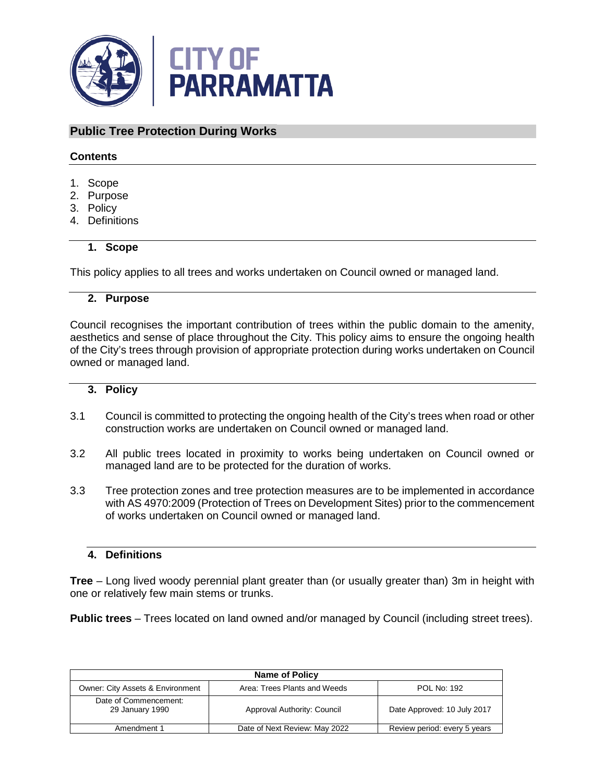

# **Public Tree Protection During Works**

## **Contents**

- 1. Scope
- 2. Purpose
- 3. Policy
- 4. Definitions

### **1. Scope**

This policy applies to all trees and works undertaken on Council owned or managed land.

## **2. Purpose**

Council recognises the important contribution of trees within the public domain to the amenity, aesthetics and sense of place throughout the City. This policy aims to ensure the ongoing health of the City's trees through provision of appropriate protection during works undertaken on Council owned or managed land.

#### **3. Policy**

- 3.1 Council is committed to protecting the ongoing health of the City's trees when road or other construction works are undertaken on Council owned or managed land.
- 3.2 All public trees located in proximity to works being undertaken on Council owned or managed land are to be protected for the duration of works.
- 3.3 Tree protection zones and tree protection measures are to be implemented in accordance with AS 4970:2009 (Protection of Trees on Development Sites) prior to the commencement of works undertaken on Council owned or managed land.

### **4. Definitions**

**Tree** – Long lived woody perennial plant greater than (or usually greater than) 3m in height with one or relatively few main stems or trunks.

**Public trees** – Trees located on land owned and/or managed by Council (including street trees).

| <b>Name of Policy</b>                       |                               |                              |  |
|---------------------------------------------|-------------------------------|------------------------------|--|
| <b>Owner: City Assets &amp; Environment</b> | Area: Trees Plants and Weeds  | <b>POL No: 192</b>           |  |
| Date of Commencement:<br>29 January 1990    | Approval Authority: Council   | Date Approved: 10 July 2017  |  |
| Amendment 1                                 | Date of Next Review: May 2022 | Review period: every 5 years |  |